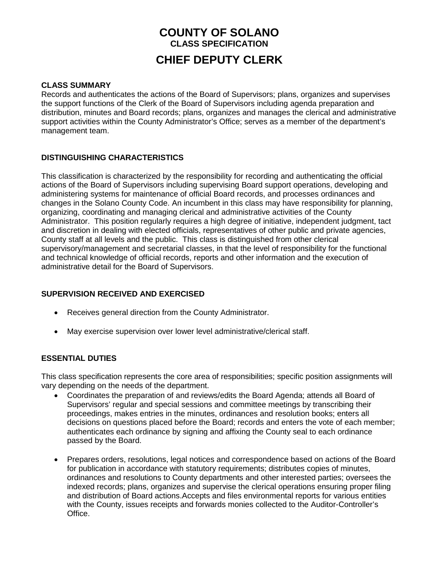# **COUNTY OF SOLANO CLASS SPECIFICATION CHIEF DEPUTY CLERK**

#### **CLASS SUMMARY**

Records and authenticates the actions of the Board of Supervisors; plans, organizes and supervises the support functions of the Clerk of the Board of Supervisors including agenda preparation and distribution, minutes and Board records; plans, organizes and manages the clerical and administrative support activities within the County Administrator's Office; serves as a member of the department's management team.

## **DISTINGUISHING CHARACTERISTICS**

This classification is characterized by the responsibility for recording and authenticating the official actions of the Board of Supervisors including supervising Board support operations, developing and administering systems for maintenance of official Board records, and processes ordinances and changes in the Solano County Code. An incumbent in this class may have responsibility for planning, organizing, coordinating and managing clerical and administrative activities of the County Administrator. This position regularly requires a high degree of initiative, independent judgment, tact and discretion in dealing with elected officials, representatives of other public and private agencies, County staff at all levels and the public. This class is distinguished from other clerical supervisory/management and secretarial classes, in that the level of responsibility for the functional and technical knowledge of official records, reports and other information and the execution of administrative detail for the Board of Supervisors.

# **SUPERVISION RECEIVED AND EXERCISED**

- Receives general direction from the County Administrator.
- May exercise supervision over lower level administrative/clerical staff.

#### **ESSENTIAL DUTIES**

This class specification represents the core area of responsibilities; specific position assignments will vary depending on the needs of the department.

- Coordinates the preparation of and reviews/edits the Board Agenda; attends all Board of Supervisors' regular and special sessions and committee meetings by transcribing their proceedings, makes entries in the minutes, ordinances and resolution books; enters all decisions on questions placed before the Board; records and enters the vote of each member; authenticates each ordinance by signing and affixing the County seal to each ordinance passed by the Board.
- Prepares orders, resolutions, legal notices and correspondence based on actions of the Board for publication in accordance with statutory requirements; distributes copies of minutes, ordinances and resolutions to County departments and other interested parties; oversees the indexed records; plans, organizes and supervise the clerical operations ensuring proper filing and distribution of Board actions.Accepts and files environmental reports for various entities with the County, issues receipts and forwards monies collected to the Auditor-Controller's Office.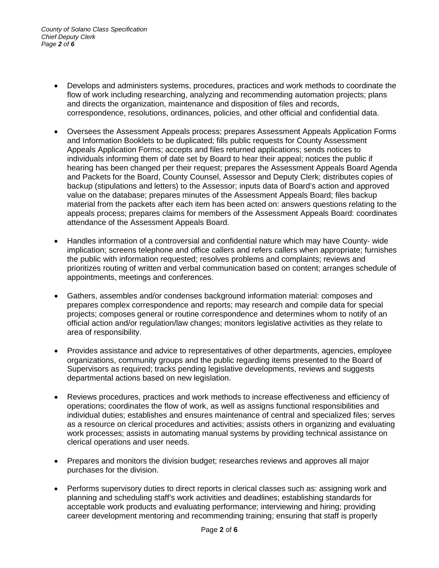- Develops and administers systems, procedures, practices and work methods to coordinate the flow of work including researching, analyzing and recommending automation projects; plans and directs the organization, maintenance and disposition of files and records, correspondence, resolutions, ordinances, policies, and other official and confidential data.
- Oversees the Assessment Appeals process; prepares Assessment Appeals Application Forms and Information Booklets to be duplicated; fills public requests for County Assessment Appeals Application Forms; accepts and files returned applications; sends notices to individuals informing them of date set by Board to hear their appeal; notices the public if hearing has been changed per their request; prepares the Assessment Appeals Board Agenda and Packets for the Board, County Counsel, Assessor and Deputy Clerk; distributes copies of backup (stipulations and letters) to the Assessor; inputs data of Board's action and approved value on the database; prepares minutes of the Assessment Appeals Board; files backup material from the packets after each item has been acted on: answers questions relating to the appeals process; prepares claims for members of the Assessment Appeals Board: coordinates attendance of the Assessment Appeals Board.
- Handles information of a controversial and confidential nature which may have County- wide implication; screens telephone and office callers and refers callers when appropriate; furnishes the public with information requested; resolves problems and complaints; reviews and prioritizes routing of written and verbal communication based on content; arranges schedule of appointments, meetings and conferences.
- Gathers, assembles and/or condenses background information material: composes and prepares complex correspondence and reports; may research and compile data for special projects; composes general or routine correspondence and determines whom to notify of an official action and/or regulation/law changes; monitors legislative activities as they relate to area of responsibility.
- Provides assistance and advice to representatives of other departments, agencies, employee organizations, community groups and the public regarding items presented to the Board of Supervisors as required; tracks pending legislative developments, reviews and suggests departmental actions based on new legislation.
- Reviews procedures, practices and work methods to increase effectiveness and efficiency of operations; coordinates the flow of work, as well as assigns functional responsibilities and individual duties; establishes and ensures maintenance of central and specialized files; serves as a resource on clerical procedures and activities; assists others in organizing and evaluating work processes; assists in automating manual systems by providing technical assistance on clerical operations and user needs.
- Prepares and monitors the division budget; researches reviews and approves all major purchases for the division.
- Performs supervisory duties to direct reports in clerical classes such as: assigning work and planning and scheduling staff's work activities and deadlines; establishing standards for acceptable work products and evaluating performance; interviewing and hiring; providing career development mentoring and recommending training; ensuring that staff is properly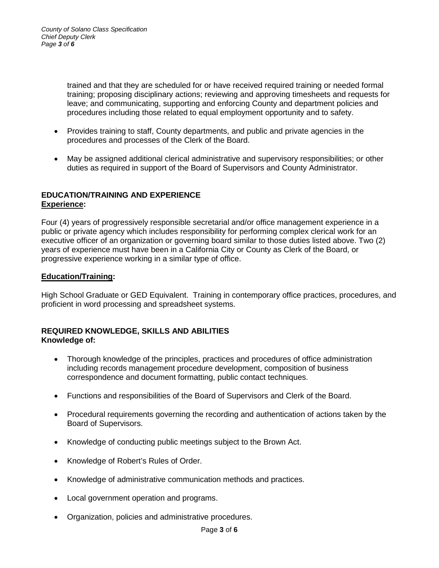trained and that they are scheduled for or have received required training or needed formal training; proposing disciplinary actions; reviewing and approving timesheets and requests for leave; and communicating, supporting and enforcing County and department policies and procedures including those related to equal employment opportunity and to safety.

- Provides training to staff, County departments, and public and private agencies in the procedures and processes of the Clerk of the Board.
- May be assigned additional clerical administrative and supervisory responsibilities; or other duties as required in support of the Board of Supervisors and County Administrator.

## **EDUCATION/TRAINING AND EXPERIENCE Experience:**

Four (4) years of progressively responsible secretarial and/or office management experience in a public or private agency which includes responsibility for performing complex clerical work for an executive officer of an organization or governing board similar to those duties listed above. Two (2) years of experience must have been in a California City or County as Clerk of the Board, or progressive experience working in a similar type of office.

## **Education/Training:**

High School Graduate or GED Equivalent. Training in contemporary office practices, procedures, and proficient in word processing and spreadsheet systems.

#### **REQUIRED KNOWLEDGE, SKILLS AND ABILITIES Knowledge of:**

- Thorough knowledge of the principles, practices and procedures of office administration including records management procedure development, composition of business correspondence and document formatting, public contact techniques.
- Functions and responsibilities of the Board of Supervisors and Clerk of the Board.
- Procedural requirements governing the recording and authentication of actions taken by the Board of Supervisors.
- Knowledge of conducting public meetings subject to the Brown Act.
- Knowledge of Robert's Rules of Order.
- Knowledge of administrative communication methods and practices.
- Local government operation and programs.
- Organization, policies and administrative procedures.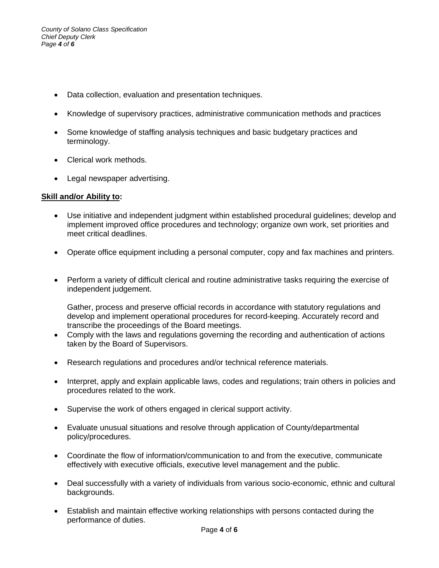- Data collection, evaluation and presentation techniques.
- Knowledge of supervisory practices, administrative communication methods and practices
- Some knowledge of staffing analysis techniques and basic budgetary practices and terminology.
- Clerical work methods.
- Legal newspaper advertising.

## **Skill and/or Ability to:**

- Use initiative and independent judgment within established procedural guidelines; develop and implement improved office procedures and technology; organize own work, set priorities and meet critical deadlines.
- Operate office equipment including a personal computer, copy and fax machines and printers.
- Perform a variety of difficult clerical and routine administrative tasks requiring the exercise of independent judgement.

Gather, process and preserve official records in accordance with statutory regulations and develop and implement operational procedures for record-keeping. Accurately record and transcribe the proceedings of the Board meetings.

- Comply with the laws and regulations governing the recording and authentication of actions taken by the Board of Supervisors.
- Research regulations and procedures and/or technical reference materials.
- Interpret, apply and explain applicable laws, codes and regulations; train others in policies and procedures related to the work.
- Supervise the work of others engaged in clerical support activity.
- Evaluate unusual situations and resolve through application of County/departmental policy/procedures.
- Coordinate the flow of information/communication to and from the executive, communicate effectively with executive officials, executive level management and the public.
- Deal successfully with a variety of individuals from various socio-economic, ethnic and cultural backgrounds.
- Establish and maintain effective working relationships with persons contacted during the performance of duties.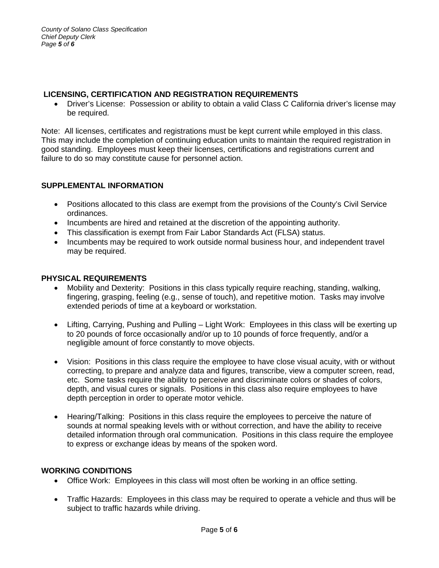### **LICENSING, CERTIFICATION AND REGISTRATION REQUIREMENTS**

• Driver's License: Possession or ability to obtain a valid Class C California driver's license may be required.

Note: All licenses, certificates and registrations must be kept current while employed in this class. This may include the completion of continuing education units to maintain the required registration in good standing. Employees must keep their licenses, certifications and registrations current and failure to do so may constitute cause for personnel action.

# **SUPPLEMENTAL INFORMATION**

- Positions allocated to this class are exempt from the provisions of the County's Civil Service ordinances.
- Incumbents are hired and retained at the discretion of the appointing authority.
- This classification is exempt from Fair Labor Standards Act (FLSA) status.
- Incumbents may be required to work outside normal business hour, and independent travel may be required.

# **PHYSICAL REQUIREMENTS**

- Mobility and Dexterity: Positions in this class typically require reaching, standing, walking, fingering, grasping, feeling (e.g., sense of touch), and repetitive motion. Tasks may involve extended periods of time at a keyboard or workstation.
- Lifting, Carrying, Pushing and Pulling Light Work: Employees in this class will be exerting up to 20 pounds of force occasionally and/or up to 10 pounds of force frequently, and/or a negligible amount of force constantly to move objects.
- Vision: Positions in this class require the employee to have close visual acuity, with or without correcting, to prepare and analyze data and figures, transcribe, view a computer screen, read, etc. Some tasks require the ability to perceive and discriminate colors or shades of colors, depth, and visual cures or signals. Positions in this class also require employees to have depth perception in order to operate motor vehicle.
- Hearing/Talking: Positions in this class require the employees to perceive the nature of sounds at normal speaking levels with or without correction, and have the ability to receive detailed information through oral communication. Positions in this class require the employee to express or exchange ideas by means of the spoken word.

# **WORKING CONDITIONS**

- Office Work: Employees in this class will most often be working in an office setting.
- Traffic Hazards: Employees in this class may be required to operate a vehicle and thus will be subject to traffic hazards while driving.